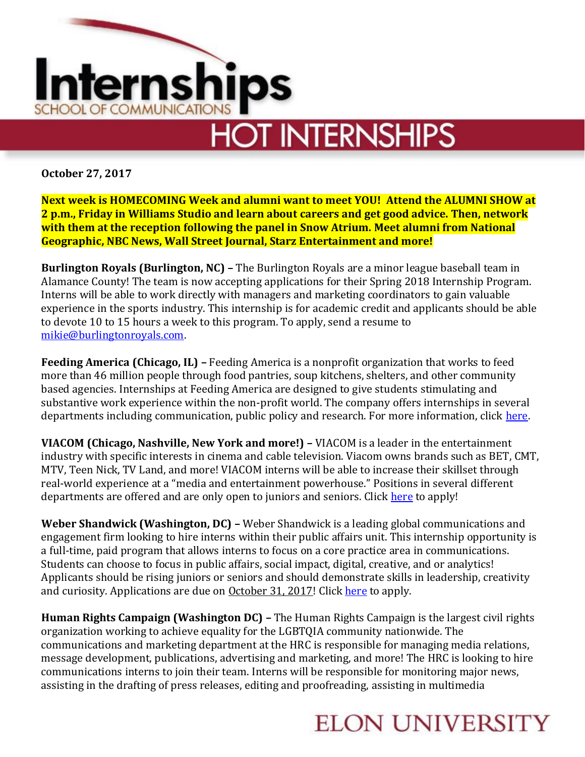

**October 27, 2017**

**Next week is HOMECOMING Week and alumni want to meet YOU! Attend the ALUMNI SHOW at 2 p.m., Friday in Williams Studio and learn about careers and get good advice. Then, network with them at the reception following the panel in Snow Atrium. Meet alumni from National Geographic, NBC News, Wall Street Journal, Starz Entertainment and more!**

**Burlington Royals (Burlington, NC) –** The Burlington Royals are a minor league baseball team in Alamance County! The team is now accepting applications for their Spring 2018 Internship Program. Interns will be able to work directly with managers and marketing coordinators to gain valuable experience in the sports industry. This internship is for academic credit and applicants should be able to devote 10 to 15 hours a week to this program. To apply, send a resume to [mikie@burlingtonroyals.com.](mailto:mikie@burlingtonroyals.com)

**Feeding America (Chicago, IL) –** Feeding America is a nonprofit organization that works to feed more than 46 million people through food pantries, soup kitchens, shelters, and other community based agencies. Internships at Feeding America are designed to give students stimulating and substantive work experience within the non-profit world. The company offers internships in several departments including communication, public policy and research. For more information, click [here.](http://www.feedingamerica.org/about-us/about-feeding-america/job-opportunities/national-office-jobs/internships/)

**VIACOM (Chicago, Nashville, New York and more!) –** VIACOM is a leader in the entertainment industry with specific interests in cinema and cable television. Viacom owns brands such as BET, CMT, MTV, Teen Nick, TV Land, and more! VIACOM interns will be able to increase their skillset through real-world experience at a "media and entertainment powerhouse." Positions in several different departments are offered and are only open to juniors and seniors. Click [here](http://www.viacomcareers.com/internships.html) to apply!

**Weber Shandwick (Washington, DC) –** Weber Shandwick is a leading global communications and engagement firm looking to hire interns within their public affairs unit. This internship opportunity is a full-time, paid program that allows interns to focus on a core practice area in communications. Students can choose to focus in public affairs, social impact, digital, creative, and or analytics! Applicants should be rising juniors or seniors and should demonstrate skills in leadership, creativity and curiosity. Applications are due on October 31, 2017! Click [here](https://ipg.taleo.net/careersection/ws_ext_cs/jobdetail.ftl?job=007086&tz=GMT-05:00&src=JB-10080) to apply.

**Human Rights Campaign (Washington DC) –** The Human Rights Campaign is the largest civil rights organization working to achieve equality for the LGBTQIA community nationwide. The communications and marketing department at the HRC is responsible for managing media relations, message development, publications, advertising and marketing, and more! The HRC is looking to hire communications interns to join their team. Interns will be responsible for monitoring major news, assisting in the drafting of press releases, editing and proofreading, assisting in multimedia

## **ELON UNIVERSITY**